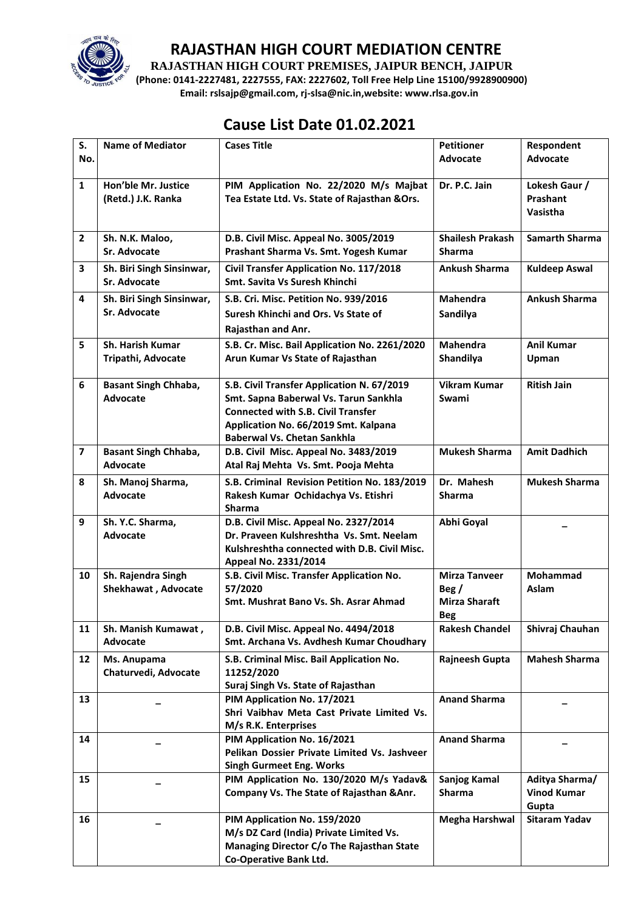

**RAJASTHAN HIGH COURT PREMISES, JAIPUR BENCH, JAIPUR**

**(Phone: 0141-2227481, 2227555, FAX: 2227602, Toll Free Help Line 15100/9928900900) Email: rslsajp@gmail.com, rj-slsa@nic.in,website: www.rlsa.gov.in**

# **Cause List Date 01.02.2021**

| S.                      | <b>Name of Mediator</b>                   | <b>Cases Title</b>                                                                | <b>Petitioner</b>       | Respondent                  |
|-------------------------|-------------------------------------------|-----------------------------------------------------------------------------------|-------------------------|-----------------------------|
| No.                     |                                           |                                                                                   | Advocate                | Advocate                    |
| $\mathbf{1}$            | Hon'ble Mr. Justice                       | PIM Application No. 22/2020 M/s Majbat                                            | Dr. P.C. Jain           | Lokesh Gaur /               |
|                         | (Retd.) J.K. Ranka                        | Tea Estate Ltd. Vs. State of Rajasthan & Ors.                                     |                         | Prashant<br>Vasistha        |
|                         |                                           |                                                                                   |                         |                             |
| $\mathbf{2}$            | Sh. N.K. Maloo,                           | D.B. Civil Misc. Appeal No. 3005/2019                                             | <b>Shailesh Prakash</b> | <b>Samarth Sharma</b>       |
|                         | Sr. Advocate                              | Prashant Sharma Vs. Smt. Yogesh Kumar                                             | <b>Sharma</b>           |                             |
| 3                       | Sh. Biri Singh Sinsinwar,                 | Civil Transfer Application No. 117/2018                                           | <b>Ankush Sharma</b>    | <b>Kuldeep Aswal</b>        |
|                         | Sr. Advocate                              | Smt. Savita Vs Suresh Khinchi                                                     |                         |                             |
| 4                       | Sh. Biri Singh Sinsinwar,<br>Sr. Advocate | S.B. Cri. Misc. Petition No. 939/2016                                             | <b>Mahendra</b>         | <b>Ankush Sharma</b>        |
|                         |                                           | Suresh Khinchi and Ors. Vs State of                                               | Sandilya                |                             |
| 5                       | <b>Sh. Harish Kumar</b>                   | Rajasthan and Anr.                                                                | <b>Mahendra</b>         | <b>Anil Kumar</b>           |
|                         | Tripathi, Advocate                        | S.B. Cr. Misc. Bail Application No. 2261/2020<br>Arun Kumar Vs State of Rajasthan | Shandilya               | Upman                       |
|                         |                                           |                                                                                   |                         |                             |
| 6                       | <b>Basant Singh Chhaba,</b>               | S.B. Civil Transfer Application N. 67/2019                                        | <b>Vikram Kumar</b>     | <b>Ritish Jain</b>          |
|                         | Advocate                                  | Smt. Sapna Baberwal Vs. Tarun Sankhla                                             | Swami                   |                             |
|                         |                                           | <b>Connected with S.B. Civil Transfer</b><br>Application No. 66/2019 Smt. Kalpana |                         |                             |
|                         |                                           | <b>Baberwal Vs. Chetan Sankhla</b>                                                |                         |                             |
| $\overline{\mathbf{z}}$ | <b>Basant Singh Chhaba,</b>               | D.B. Civil Misc. Appeal No. 3483/2019                                             | <b>Mukesh Sharma</b>    | <b>Amit Dadhich</b>         |
|                         | Advocate                                  | Atal Raj Mehta Vs. Smt. Pooja Mehta                                               |                         |                             |
| 8                       | Sh. Manoj Sharma,                         | S.B. Criminal Revision Petition No. 183/2019                                      | Dr. Mahesh              | <b>Mukesh Sharma</b>        |
|                         | Advocate                                  | Rakesh Kumar Ochidachya Vs. Etishri<br><b>Sharma</b>                              | <b>Sharma</b>           |                             |
| 9                       | Sh. Y.C. Sharma,                          | D.B. Civil Misc. Appeal No. 2327/2014                                             | Abhi Goyal              |                             |
|                         | Advocate                                  | Dr. Praveen Kulshreshtha Vs. Smt. Neelam                                          |                         |                             |
|                         |                                           | Kulshreshtha connected with D.B. Civil Misc.                                      |                         |                             |
| 10                      |                                           | Appeal No. 2331/2014                                                              | <b>Mirza Tanveer</b>    | Mohammad                    |
|                         | Sh. Rajendra Singh<br>Shekhawat, Advocate | S.B. Civil Misc. Transfer Application No.<br>57/2020                              | Beg/                    | Aslam                       |
|                         |                                           | Smt. Mushrat Bano Vs. Sh. Asrar Ahmad                                             | <b>Mirza Sharaft</b>    |                             |
|                         |                                           |                                                                                   | <b>Beg</b>              |                             |
| 11                      | Sh. Manish Kumawat,                       | D.B. Civil Misc. Appeal No. 4494/2018                                             | <b>Rakesh Chandel</b>   | Shivraj Chauhan             |
|                         | Advocate                                  | Smt. Archana Vs. Avdhesh Kumar Choudhary                                          |                         |                             |
| 12                      | Ms. Anupama<br>Chaturvedi, Advocate       | S.B. Criminal Misc. Bail Application No.<br>11252/2020                            | Rajneesh Gupta          | <b>Mahesh Sharma</b>        |
|                         |                                           | Suraj Singh Vs. State of Rajasthan                                                |                         |                             |
| 13                      |                                           | PIM Application No. 17/2021                                                       | <b>Anand Sharma</b>     |                             |
|                         |                                           | Shri Vaibhav Meta Cast Private Limited Vs.                                        |                         |                             |
|                         |                                           | M/s R.K. Enterprises                                                              |                         |                             |
| 14                      |                                           | PIM Application No. 16/2021<br>Pelikan Dossier Private Limited Vs. Jashveer       | <b>Anand Sharma</b>     |                             |
|                         |                                           | <b>Singh Gurmeet Eng. Works</b>                                                   |                         |                             |
| 15                      |                                           | PIM Application No. 130/2020 M/s Yadav&                                           | Sanjog Kamal            | Aditya Sharma/              |
|                         |                                           | Company Vs. The State of Rajasthan & Anr.                                         | Sharma                  | <b>Vinod Kumar</b><br>Gupta |
| 16                      |                                           | PIM Application No. 159/2020                                                      | <b>Megha Harshwal</b>   | Sitaram Yadav               |
|                         |                                           | M/s DZ Card (India) Private Limited Vs.                                           |                         |                             |
|                         |                                           | Managing Director C/o The Rajasthan State                                         |                         |                             |
|                         |                                           | <b>Co-Operative Bank Ltd.</b>                                                     |                         |                             |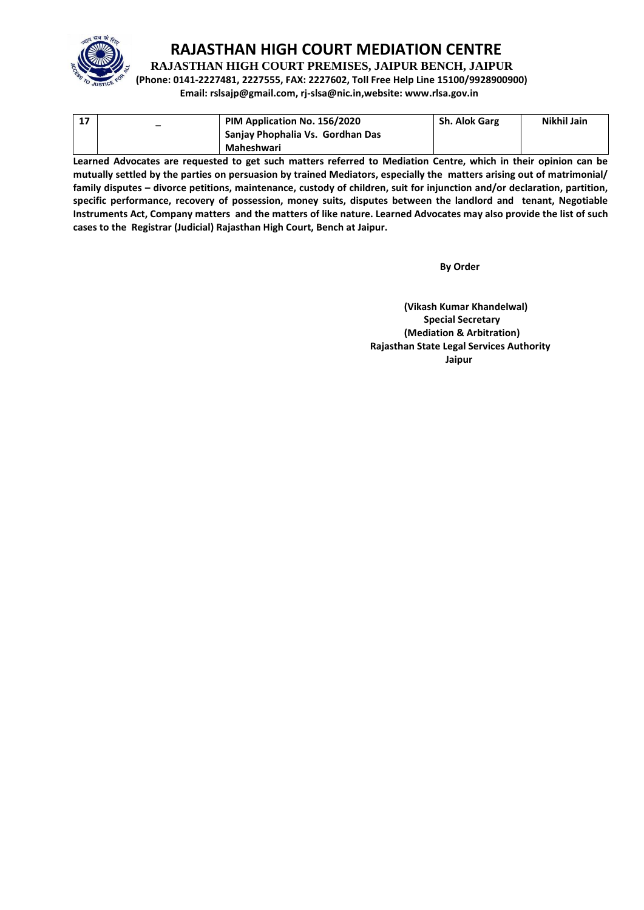

**RAJASTHAN HIGH COURT PREMISES, JAIPUR BENCH, JAIPUR**

**(Phone: 0141-2227481, 2227555, FAX: 2227602, Toll Free Help Line 15100/9928900900) Email: rslsajp@gmail.com, rj-slsa@nic.in,website: www.rlsa.gov.in**

| $\overline{\phantom{a}}$ | PIM Application No. 156/2020     | <b>Sh. Alok Garg</b> | Nikhil Jain |
|--------------------------|----------------------------------|----------------------|-------------|
|                          | Sanjay Phophalia Vs. Gordhan Das |                      |             |
|                          | Maheshwari                       |                      |             |

**Learned Advocates are requested to get such matters referred to Mediation Centre, which in their opinion can be mutually settled by the parties on persuasion by trained Mediators, especially the matters arising out of matrimonial/ family disputes – divorce petitions, maintenance, custody of children, suit for injunction and/or declaration, partition, specific performance, recovery of possession, money suits, disputes between the landlord and tenant, Negotiable Instruments Act, Company matters and the matters of like nature. Learned Advocates may also provide the list of such cases to the Registrar (Judicial) Rajasthan High Court, Bench at Jaipur.** 

 **By Order** 

**(Vikash Kumar Khandelwal) Special Secretary (Mediation & Arbitration) Rajasthan State Legal Services Authority Jaipur**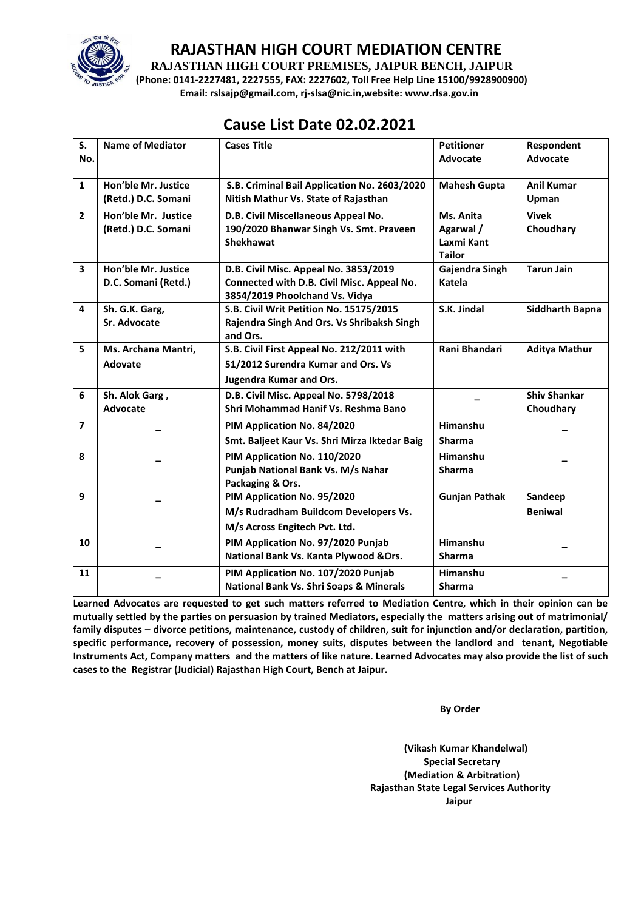

**RAJASTHAN HIGH COURT PREMISES, JAIPUR BENCH, JAIPUR**

**(Phone: 0141-2227481, 2227555, FAX: 2227602, Toll Free Help Line 15100/9928900900) Email: rslsajp@gmail.com, rj-slsa@nic.in,website: www.rlsa.gov.in**

# **Cause List Date 02.02.2021**

| S.                      | <b>Name of Mediator</b> | <b>Cases Title</b>                                 | <b>Petitioner</b>    | Respondent             |
|-------------------------|-------------------------|----------------------------------------------------|----------------------|------------------------|
| No.                     |                         |                                                    | Advocate             | Advocate               |
|                         |                         |                                                    |                      |                        |
| $\mathbf{1}$            | Hon'ble Mr. Justice     | S.B. Criminal Bail Application No. 2603/2020       | <b>Mahesh Gupta</b>  | <b>Anil Kumar</b>      |
|                         | (Retd.) D.C. Somani     | Nitish Mathur Vs. State of Rajasthan               |                      | Upman                  |
| $\overline{2}$          | Hon'ble Mr. Justice     | D.B. Civil Miscellaneous Appeal No.                | Ms. Anita            | <b>Vivek</b>           |
|                         | (Retd.) D.C. Somani     | 190/2020 Bhanwar Singh Vs. Smt. Praveen            | Agarwal /            | Choudhary              |
|                         |                         | <b>Shekhawat</b>                                   | Laxmi Kant           |                        |
|                         |                         |                                                    | <b>Tailor</b>        |                        |
| $\overline{\mathbf{3}}$ | Hon'ble Mr. Justice     | D.B. Civil Misc. Appeal No. 3853/2019              | Gajendra Singh       | <b>Tarun Jain</b>      |
|                         | D.C. Somani (Retd.)     | Connected with D.B. Civil Misc. Appeal No.         | Katela               |                        |
|                         |                         | 3854/2019 Phoolchand Vs. Vidya                     |                      |                        |
| 4                       | Sh. G.K. Garg,          | S.B. Civil Writ Petition No. 15175/2015            | S.K. Jindal          | <b>Siddharth Bapna</b> |
|                         | Sr. Advocate            | Rajendra Singh And Ors. Vs Shribaksh Singh         |                      |                        |
|                         |                         | and Ors.                                           |                      |                        |
| 5                       | Ms. Archana Mantri,     | S.B. Civil First Appeal No. 212/2011 with          | Rani Bhandari        | <b>Aditya Mathur</b>   |
|                         | Adovate                 | 51/2012 Surendra Kumar and Ors. Vs                 |                      |                        |
|                         |                         | <b>Jugendra Kumar and Ors.</b>                     |                      |                        |
| 6                       | Sh. Alok Garg,          | D.B. Civil Misc. Appeal No. 5798/2018              |                      | <b>Shiv Shankar</b>    |
|                         | Advocate                | Shri Mohammad Hanif Vs. Reshma Bano                |                      | Choudhary              |
| $\overline{7}$          |                         | PIM Application No. 84/2020                        | Himanshu             |                        |
|                         |                         | Smt. Baljeet Kaur Vs. Shri Mirza Iktedar Baig      | <b>Sharma</b>        |                        |
| 8                       |                         | PIM Application No. 110/2020                       | Himanshu             |                        |
|                         |                         | Punjab National Bank Vs. M/s Nahar                 | <b>Sharma</b>        |                        |
|                         |                         | Packaging & Ors.                                   |                      |                        |
| 9                       |                         | PIM Application No. 95/2020                        | <b>Gunjan Pathak</b> | Sandeep                |
|                         |                         | M/s Rudradham Buildcom Developers Vs.              |                      | <b>Beniwal</b>         |
|                         |                         | M/s Across Engitech Pvt. Ltd.                      |                      |                        |
| 10                      |                         | PIM Application No. 97/2020 Punjab                 | Himanshu             |                        |
|                         |                         | National Bank Vs. Kanta Plywood & Ors.             | <b>Sharma</b>        |                        |
| 11                      |                         | PIM Application No. 107/2020 Punjab                | Himanshu             |                        |
|                         |                         | <b>National Bank Vs. Shri Soaps &amp; Minerals</b> | <b>Sharma</b>        |                        |
|                         |                         |                                                    |                      |                        |

**Learned Advocates are requested to get such matters referred to Mediation Centre, which in their opinion can be mutually settled by the parties on persuasion by trained Mediators, especially the matters arising out of matrimonial/ family disputes – divorce petitions, maintenance, custody of children, suit for injunction and/or declaration, partition, specific performance, recovery of possession, money suits, disputes between the landlord and tenant, Negotiable Instruments Act, Company matters and the matters of like nature. Learned Advocates may also provide the list of such cases to the Registrar (Judicial) Rajasthan High Court, Bench at Jaipur.** 

 **By Order** 

**(Vikash Kumar Khandelwal) Special Secretary (Mediation & Arbitration) Rajasthan State Legal Services Authority Jaipur**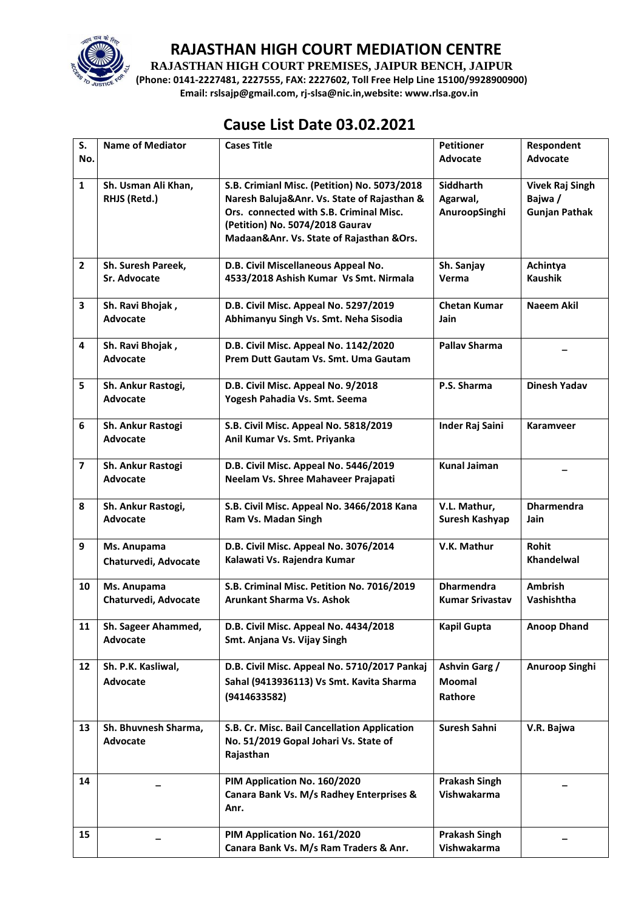

**RAJASTHAN HIGH COURT PREMISES, JAIPUR BENCH, JAIPUR**

**(Phone: 0141-2227481, 2227555, FAX: 2227602, Toll Free Help Line 15100/9928900900) Email: rslsajp@gmail.com, rj-slsa@nic.in,website: www.rlsa.gov.in**

### **Cause List Date 03.02.2021**

| S.             | <b>Name of Mediator</b>                 | <b>Cases Title</b>                                                                                                                                                                                                    | <b>Petitioner</b>                             | Respondent                                                |
|----------------|-----------------------------------------|-----------------------------------------------------------------------------------------------------------------------------------------------------------------------------------------------------------------------|-----------------------------------------------|-----------------------------------------------------------|
| No.            |                                         |                                                                                                                                                                                                                       | <b>Advocate</b>                               | <b>Advocate</b>                                           |
| $\mathbf{1}$   | Sh. Usman Ali Khan,<br>RHJS (Retd.)     | S.B. Crimianl Misc. (Petition) No. 5073/2018<br>Naresh Baluja&Anr. Vs. State of Rajasthan &<br>Ors. connected with S.B. Criminal Misc.<br>(Petition) No. 5074/2018 Gaurav<br>Madaan&Anr. Vs. State of Rajasthan &Ors. | <b>Siddharth</b><br>Agarwal,<br>AnuroopSinghi | <b>Vivek Raj Singh</b><br>Bajwa /<br><b>Gunjan Pathak</b> |
| $\overline{2}$ | Sh. Suresh Pareek,<br>Sr. Advocate      | D.B. Civil Miscellaneous Appeal No.<br>4533/2018 Ashish Kumar Vs Smt. Nirmala                                                                                                                                         | Sh. Sanjay<br>Verma                           | Achintya<br><b>Kaushik</b>                                |
| 3              | Sh. Ravi Bhojak,<br><b>Advocate</b>     | D.B. Civil Misc. Appeal No. 5297/2019<br>Abhimanyu Singh Vs. Smt. Neha Sisodia                                                                                                                                        | <b>Chetan Kumar</b><br>Jain                   | Naeem Akil                                                |
| 4              | Sh. Ravi Bhojak,<br><b>Advocate</b>     | D.B. Civil Misc. Appeal No. 1142/2020<br>Prem Dutt Gautam Vs. Smt. Uma Gautam                                                                                                                                         | <b>Pallay Sharma</b>                          |                                                           |
| 5              | Sh. Ankur Rastogi,<br>Advocate          | D.B. Civil Misc. Appeal No. 9/2018<br>Yogesh Pahadia Vs. Smt. Seema                                                                                                                                                   | P.S. Sharma                                   | <b>Dinesh Yadav</b>                                       |
| 6              | Sh. Ankur Rastogi<br><b>Advocate</b>    | S.B. Civil Misc. Appeal No. 5818/2019<br>Anil Kumar Vs. Smt. Priyanka                                                                                                                                                 | <b>Inder Raj Saini</b>                        | <b>Karamveer</b>                                          |
| $\overline{7}$ | Sh. Ankur Rastogi<br><b>Advocate</b>    | D.B. Civil Misc. Appeal No. 5446/2019<br>Neelam Vs. Shree Mahaveer Prajapati                                                                                                                                          | <b>Kunal Jaiman</b>                           |                                                           |
| 8              | Sh. Ankur Rastogi,<br><b>Advocate</b>   | S.B. Civil Misc. Appeal No. 3466/2018 Kana<br>Ram Vs. Madan Singh                                                                                                                                                     | V.L. Mathur,<br>Suresh Kashyap                | <b>Dharmendra</b><br><b>Jain</b>                          |
| 9              | Ms. Anupama<br>Chaturvedi, Advocate     | D.B. Civil Misc. Appeal No. 3076/2014<br>Kalawati Vs. Rajendra Kumar                                                                                                                                                  | V.K. Mathur                                   | Rohit<br><b>Khandelwal</b>                                |
| 10             | Ms. Anupama<br>Chaturvedi, Advocate     | S.B. Criminal Misc. Petition No. 7016/2019<br><b>Arunkant Sharma Vs. Ashok</b>                                                                                                                                        | <b>Dharmendra</b><br><b>Kumar Srivastav</b>   | <b>Ambrish</b><br>Vashishtha                              |
| 11             | Sh. Sageer Ahammed,<br><b>Advocate</b>  | D.B. Civil Misc. Appeal No. 4434/2018<br>Smt. Anjana Vs. Vijay Singh                                                                                                                                                  | <b>Kapil Gupta</b>                            | <b>Anoop Dhand</b>                                        |
| 12             | Sh. P.K. Kasliwal,<br>Advocate          | D.B. Civil Misc. Appeal No. 5710/2017 Pankaj<br>Sahal (9413936113) Vs Smt. Kavita Sharma<br>(9414633582)                                                                                                              | Ashvin Garg /<br><b>Moomal</b><br>Rathore     | Anuroop Singhi                                            |
| 13             | Sh. Bhuvnesh Sharma,<br><b>Advocate</b> | S.B. Cr. Misc. Bail Cancellation Application<br>No. 51/2019 Gopal Johari Vs. State of<br>Rajasthan                                                                                                                    | Suresh Sahni                                  | V.R. Bajwa                                                |
| 14             |                                         | PIM Application No. 160/2020<br>Canara Bank Vs. M/s Radhey Enterprises &<br>Anr.                                                                                                                                      | <b>Prakash Singh</b><br>Vishwakarma           |                                                           |
| 15             |                                         | PIM Application No. 161/2020<br>Canara Bank Vs. M/s Ram Traders & Anr.                                                                                                                                                | <b>Prakash Singh</b><br>Vishwakarma           |                                                           |